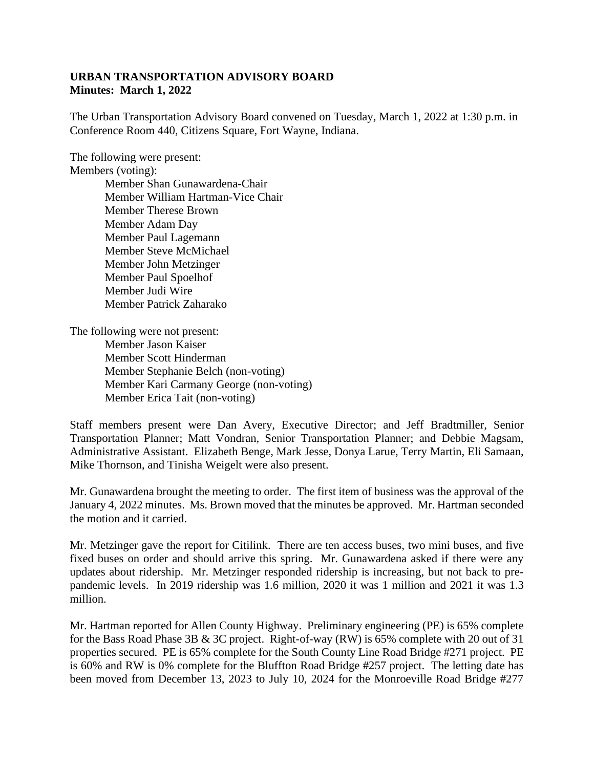## **URBAN TRANSPORTATION ADVISORY BOARD Minutes: March 1, 2022**

The Urban Transportation Advisory Board convened on Tuesday, March 1, 2022 at 1:30 p.m. in Conference Room 440, Citizens Square, Fort Wayne, Indiana.

The following were present:

Members (voting):

Member Shan Gunawardena-Chair Member William Hartman-Vice Chair Member Therese Brown Member Adam Day Member Paul Lagemann Member Steve McMichael Member John Metzinger Member Paul Spoelhof Member Judi Wire Member Patrick Zaharako

The following were not present: Member Jason Kaiser Member Scott Hinderman Member Stephanie Belch (non-voting) Member Kari Carmany George (non-voting) Member Erica Tait (non-voting)

Staff members present were Dan Avery, Executive Director; and Jeff Bradtmiller, Senior Transportation Planner; Matt Vondran, Senior Transportation Planner; and Debbie Magsam, Administrative Assistant. Elizabeth Benge, Mark Jesse, Donya Larue, Terry Martin, Eli Samaan, Mike Thornson, and Tinisha Weigelt were also present.

Mr. Gunawardena brought the meeting to order. The first item of business was the approval of the January 4, 2022 minutes. Ms. Brown moved that the minutes be approved. Mr. Hartman seconded the motion and it carried.

Mr. Metzinger gave the report for Citilink. There are ten access buses, two mini buses, and five fixed buses on order and should arrive this spring. Mr. Gunawardena asked if there were any updates about ridership. Mr. Metzinger responded ridership is increasing, but not back to prepandemic levels. In 2019 ridership was 1.6 million, 2020 it was 1 million and 2021 it was 1.3 million.

Mr. Hartman reported for Allen County Highway. Preliminary engineering (PE) is 65% complete for the Bass Road Phase 3B & 3C project. Right-of-way (RW) is 65% complete with 20 out of 31 properties secured. PE is 65% complete for the South County Line Road Bridge #271 project. PE is 60% and RW is 0% complete for the Bluffton Road Bridge #257 project. The letting date has been moved from December 13, 2023 to July 10, 2024 for the Monroeville Road Bridge #277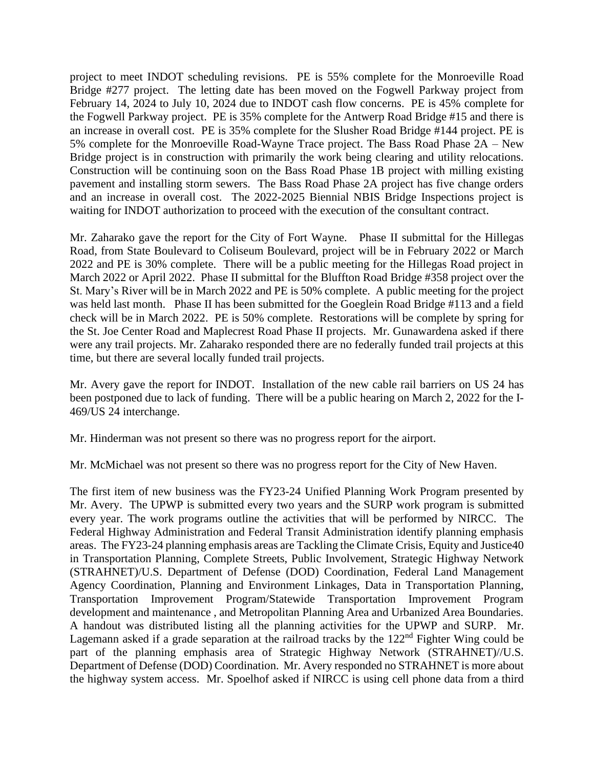project to meet INDOT scheduling revisions. PE is 55% complete for the Monroeville Road Bridge #277 project. The letting date has been moved on the Fogwell Parkway project from February 14, 2024 to July 10, 2024 due to INDOT cash flow concerns. PE is 45% complete for the Fogwell Parkway project. PE is 35% complete for the Antwerp Road Bridge #15 and there is an increase in overall cost. PE is 35% complete for the Slusher Road Bridge #144 project. PE is 5% complete for the Monroeville Road-Wayne Trace project. The Bass Road Phase 2A – New Bridge project is in construction with primarily the work being clearing and utility relocations. Construction will be continuing soon on the Bass Road Phase 1B project with milling existing pavement and installing storm sewers. The Bass Road Phase 2A project has five change orders and an increase in overall cost. The 2022-2025 Biennial NBIS Bridge Inspections project is waiting for INDOT authorization to proceed with the execution of the consultant contract.

Mr. Zaharako gave the report for the City of Fort Wayne. Phase II submittal for the Hillegas Road, from State Boulevard to Coliseum Boulevard, project will be in February 2022 or March 2022 and PE is 30% complete. There will be a public meeting for the Hillegas Road project in March 2022 or April 2022. Phase II submittal for the Bluffton Road Bridge #358 project over the St. Mary's River will be in March 2022 and PE is 50% complete. A public meeting for the project was held last month. Phase II has been submitted for the Goeglein Road Bridge #113 and a field check will be in March 2022. PE is 50% complete. Restorations will be complete by spring for the St. Joe Center Road and Maplecrest Road Phase II projects. Mr. Gunawardena asked if there were any trail projects. Mr. Zaharako responded there are no federally funded trail projects at this time, but there are several locally funded trail projects.

Mr. Avery gave the report for INDOT. Installation of the new cable rail barriers on US 24 has been postponed due to lack of funding. There will be a public hearing on March 2, 2022 for the I-469/US 24 interchange.

Mr. Hinderman was not present so there was no progress report for the airport.

Mr. McMichael was not present so there was no progress report for the City of New Haven.

The first item of new business was the FY23-24 Unified Planning Work Program presented by Mr. Avery. The UPWP is submitted every two years and the SURP work program is submitted every year. The work programs outline the activities that will be performed by NIRCC. The Federal Highway Administration and Federal Transit Administration identify planning emphasis areas. The FY23-24 planning emphasis areas are Tackling the Climate Crisis, Equity and Justice40 in Transportation Planning, Complete Streets, Public Involvement, Strategic Highway Network (STRAHNET)/U.S. Department of Defense (DOD) Coordination, Federal Land Management Agency Coordination, Planning and Environment Linkages, Data in Transportation Planning, Transportation Improvement Program/Statewide Transportation Improvement Program development and maintenance , and Metropolitan Planning Area and Urbanized Area Boundaries. A handout was distributed listing all the planning activities for the UPWP and SURP. Mr. Lagemann asked if a grade separation at the railroad tracks by the  $122<sup>nd</sup>$  Fighter Wing could be part of the planning emphasis area of Strategic Highway Network (STRAHNET)//U.S. Department of Defense (DOD) Coordination. Mr. Avery responded no STRAHNET is more about the highway system access. Mr. Spoelhof asked if NIRCC is using cell phone data from a third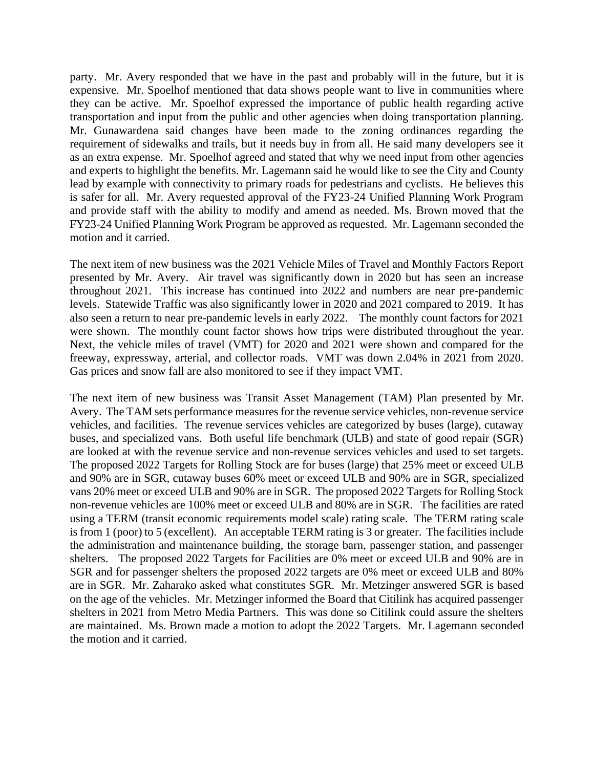party. Mr. Avery responded that we have in the past and probably will in the future, but it is expensive. Mr. Spoelhof mentioned that data shows people want to live in communities where they can be active. Mr. Spoelhof expressed the importance of public health regarding active transportation and input from the public and other agencies when doing transportation planning. Mr. Gunawardena said changes have been made to the zoning ordinances regarding the requirement of sidewalks and trails, but it needs buy in from all. He said many developers see it as an extra expense. Mr. Spoelhof agreed and stated that why we need input from other agencies and experts to highlight the benefits. Mr. Lagemann said he would like to see the City and County lead by example with connectivity to primary roads for pedestrians and cyclists. He believes this is safer for all. Mr. Avery requested approval of the FY23-24 Unified Planning Work Program and provide staff with the ability to modify and amend as needed. Ms. Brown moved that the FY23-24 Unified Planning Work Program be approved as requested. Mr. Lagemann seconded the motion and it carried.

The next item of new business was the 2021 Vehicle Miles of Travel and Monthly Factors Report presented by Mr. Avery. Air travel was significantly down in 2020 but has seen an increase throughout 2021. This increase has continued into 2022 and numbers are near pre-pandemic levels. Statewide Traffic was also significantly lower in 2020 and 2021 compared to 2019. It has also seen a return to near pre-pandemic levels in early 2022. The monthly count factors for 2021 were shown. The monthly count factor shows how trips were distributed throughout the year. Next, the vehicle miles of travel (VMT) for 2020 and 2021 were shown and compared for the freeway, expressway, arterial, and collector roads. VMT was down 2.04% in 2021 from 2020. Gas prices and snow fall are also monitored to see if they impact VMT.

The next item of new business was Transit Asset Management (TAM) Plan presented by Mr. Avery. The TAM sets performance measures for the revenue service vehicles, non-revenue service vehicles, and facilities. The revenue services vehicles are categorized by buses (large), cutaway buses, and specialized vans. Both useful life benchmark (ULB) and state of good repair (SGR) are looked at with the revenue service and non-revenue services vehicles and used to set targets. The proposed 2022 Targets for Rolling Stock are for buses (large) that 25% meet or exceed ULB and 90% are in SGR, cutaway buses 60% meet or exceed ULB and 90% are in SGR, specialized vans 20% meet or exceed ULB and 90% are in SGR. The proposed 2022 Targets for Rolling Stock non-revenue vehicles are 100% meet or exceed ULB and 80% are in SGR. The facilities are rated using a TERM (transit economic requirements model scale) rating scale. The TERM rating scale is from 1 (poor) to 5 (excellent). An acceptable TERM rating is 3 or greater. The facilities include the administration and maintenance building, the storage barn, passenger station, and passenger shelters. The proposed 2022 Targets for Facilities are 0% meet or exceed ULB and 90% are in SGR and for passenger shelters the proposed 2022 targets are 0% meet or exceed ULB and 80% are in SGR. Mr. Zaharako asked what constitutes SGR. Mr. Metzinger answered SGR is based on the age of the vehicles. Mr. Metzinger informed the Board that Citilink has acquired passenger shelters in 2021 from Metro Media Partners. This was done so Citilink could assure the shelters are maintained. Ms. Brown made a motion to adopt the 2022 Targets. Mr. Lagemann seconded the motion and it carried.